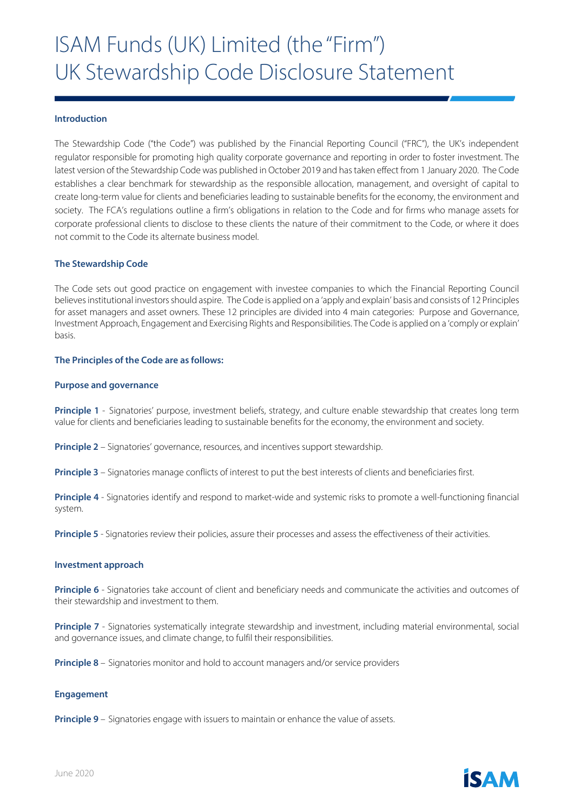## **Introduction**

The Stewardship Code ("the Code") was published by the Financial Reporting Council ("FRC"), the UK's independent regulator responsible for promoting high quality corporate governance and reporting in order to foster investment. The latest version of the Stewardship Code was published in October 2019 and has taken effect from 1 January 2020. The Code establishes a clear benchmark for stewardship as the responsible allocation, management, and oversight of capital to create long-term value for clients and beneficiaries leading to sustainable benefits for the economy, the environment and society. The FCA's regulations outline a firm's obligations in relation to the Code and for firms who manage assets for corporate professional clients to disclose to these clients the nature of their commitment to the Code, or where it does not commit to the Code its alternate business model.

## **The Stewardship Code**

The Code sets out good practice on engagement with investee companies to which the Financial Reporting Council believes institutional investors should aspire. The Code is applied on a 'apply and explain' basis and consists of 12 Principles for asset managers and asset owners. These 12 principles are divided into 4 main categories: Purpose and Governance, Investment Approach, Engagement and Exercising Rights and Responsibilities. The Code is applied on a 'comply or explain' basis.

## **The Principles of the Code are as follows:**

### **Purpose and governance**

**Principle 1** - Signatories' purpose, investment beliefs, strategy, and culture enable stewardship that creates long term value for clients and beneficiaries leading to sustainable benefits for the economy, the environment and society.

**Principle 2** – Signatories' governance, resources, and incentives support stewardship.

**Principle 3** – Signatories manage conflicts of interest to put the best interests of clients and beneficiaries first.

**Principle 4** - Signatories identify and respond to market-wide and systemic risks to promote a well-functioning financial system.

**Principle 5** - Signatories review their policies, assure their processes and assess the effectiveness of their activities.

#### **Investment approach**

**Principle 6** - Signatories take account of client and beneficiary needs and communicate the activities and outcomes of their stewardship and investment to them.

**Principle 7** - Signatories systematically integrate stewardship and investment, including material environmental, social and governance issues, and climate change, to fulfil their responsibilities.

**Principle 8** – Signatories monitor and hold to account managers and/or service providers

#### **Engagement**

**Principle 9** – Signatories engage with issuers to maintain or enhance the value of assets.